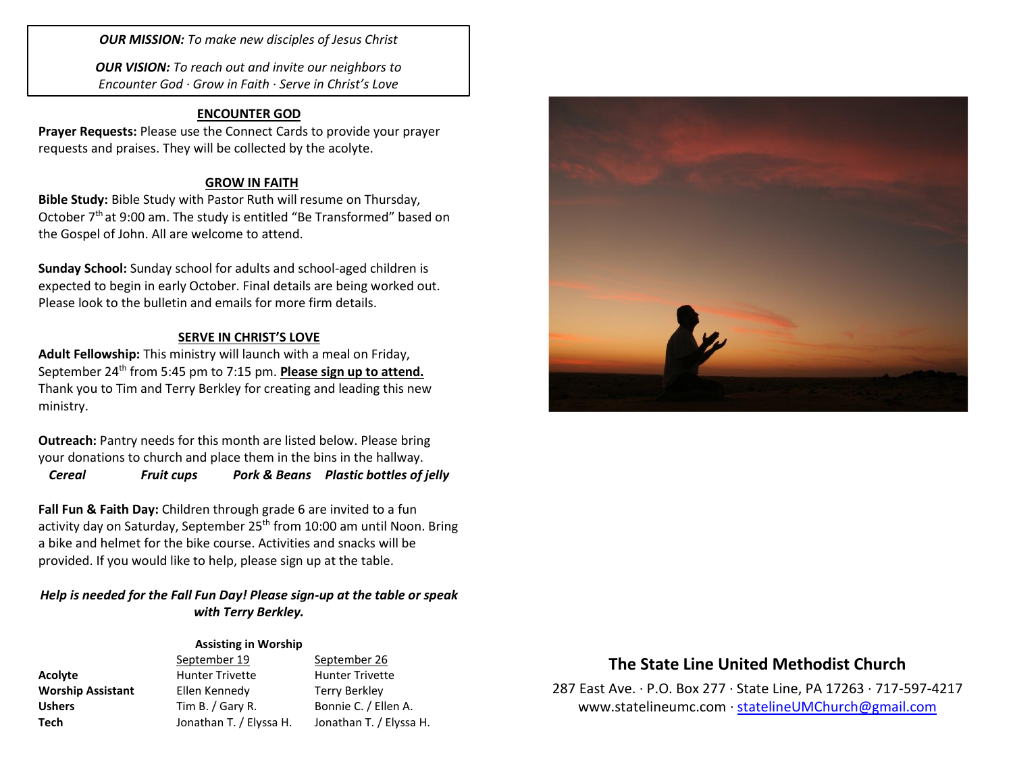*OUR MISSION: To make new disciples of Jesus Christ*

*OUR VISION: To reach out and invite our neighbors to Encounter God · Grow in Faith · Serve in Christ's Love*

## **ENCOUNTER GOD**

**Prayer Requests:** Please use the Connect Cards to provide your prayer requests and praises. They will be collected by the acolyte.

### **GROW IN FAITH**

**Bible Study:** Bible Study with Pastor Ruth will resume on Thursday, October 7<sup>th</sup> at 9:00 am. The study is entitled "Be Transformed" based on the Gospel of John. All are welcome to attend.

**Sunday School:** Sunday school for adults and school-aged children is expected to begin in early October. Final details are being worked out. Please look to the bulletin and emails for more firm details.

### **SERVE IN CHRIST'S LOVE**

**Adult Fellowship:** This ministry will launch with a meal on Friday, September 24<sup>th</sup> from 5:45 pm to 7:15 pm. **Please sign up to attend.** Thank you to Tim and Terry Berkley for creating and leading this new ministry.

**Outreach:** Pantry needs for this month are listed below. Please bring your donations to church and place them in the bins in the hallway.

*Cereal Fruit cups Pork & Beans Plastic bottles of jelly*

**Fall Fun & Faith Day:** Children through grade 6 are invited to a fun activity day on Saturday, September 25<sup>th</sup> from 10:00 am until Noon. Bring a bike and helmet for the bike course. Activities and snacks will be provided. If you would like to help, please sign up at the table.

## *Help is needed for the Fall Fun Day! Please sign-up at the table or speak with Terry Berkley.*

#### **Assisting in Worship**

| <b>Acolyte</b>          |  |
|-------------------------|--|
| <b>Worship Assistan</b> |  |
| <b>Ushers</b>           |  |
| Tech                    |  |

September 19 September 26 **Acolyte** Hunter Trivette Hunter Trivette **No. 5 Ellen Kennedy Terry Berkley Ushers** Tim B. / Gary R. Bonnie C. / Ellen A. **Tech** Jonathan T. / Elyssa H. Jonathan T. / Elyssa H.

# **The State Line United Methodist Church**

287 East Ave. · P.O. Box 277 · State Line, PA 17263 · 717-597-4217 [www.statelineumc.com](http://www.statelineumc.com/) · [statelineUMChurch@gmail.com](mailto:statelineUMChurch@gmail.com)